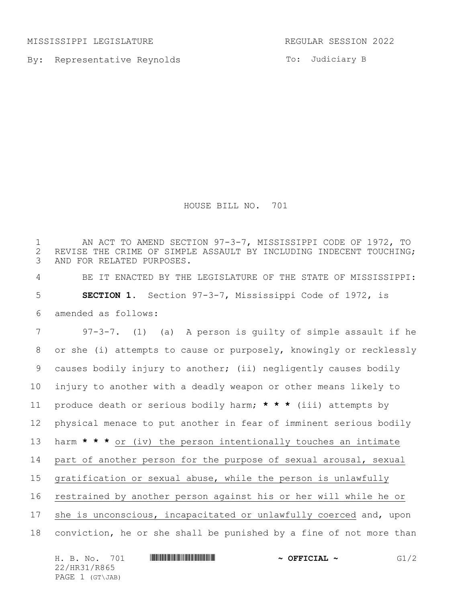MISSISSIPPI LEGISLATURE REGULAR SESSION 2022

By: Representative Reynolds

To: Judiciary B

HOUSE BILL NO. 701

1 THE AN ACT TO AMEND SECTION 97-3-7, MISSISSIPPI CODE OF 1972, TO<br>2 REVISE THE CRIME OF SIMPLE ASSAULT BY INCLUDING INDECENT TOUCHING. 2 REVISE THE CRIME OF SIMPLE ASSAULT BY INCLUDING INDECENT TOUCHING;<br>3 AND FOR RELATED PURPOSES. AND FOR RELATED PURPOSES. BE IT ENACTED BY THE LEGISLATURE OF THE STATE OF MISSISSIPPI: **SECTION 1.** Section 97-3-7, Mississippi Code of 1972, is amended as follows: 97-3-7. (1) (a) A person is guilty of simple assault if he or she (i) attempts to cause or purposely, knowingly or recklessly causes bodily injury to another; (ii) negligently causes bodily injury to another with a deadly weapon or other means likely to produce death or serious bodily harm; **\* \* \*** (iii) attempts by physical menace to put another in fear of imminent serious bodily harm **\* \* \*** or (iv) the person intentionally touches an intimate part of another person for the purpose of sexual arousal, sexual gratification or sexual abuse, while the person is unlawfully restrained by another person against his or her will while he or she is unconscious, incapacitated or unlawfully coerced and, upon conviction, he or she shall be punished by a fine of not more than

|  | H. B. No. 701   |  | $\sim$ OFFICIAL $\sim$ | G1/2 |
|--|-----------------|--|------------------------|------|
|  | 22/HR31/R865    |  |                        |      |
|  | PAGE 1 (GT\JAB) |  |                        |      |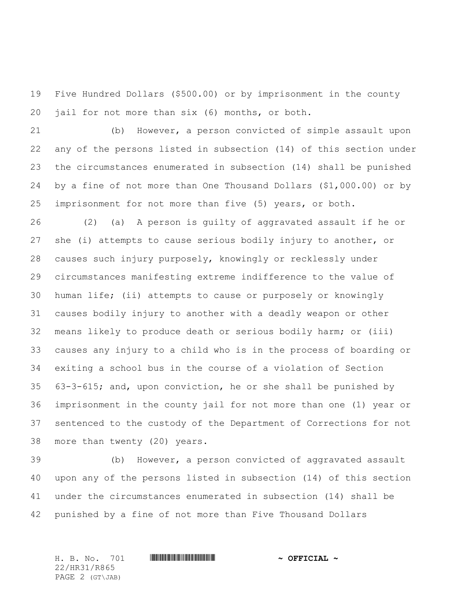Five Hundred Dollars (\$500.00) or by imprisonment in the county jail for not more than six (6) months, or both.

 (b) However, a person convicted of simple assault upon any of the persons listed in subsection (14) of this section under the circumstances enumerated in subsection (14) shall be punished by a fine of not more than One Thousand Dollars (\$1,000.00) or by imprisonment for not more than five (5) years, or both.

 (2) (a) A person is guilty of aggravated assault if he or she (i) attempts to cause serious bodily injury to another, or causes such injury purposely, knowingly or recklessly under circumstances manifesting extreme indifference to the value of human life; (ii) attempts to cause or purposely or knowingly causes bodily injury to another with a deadly weapon or other means likely to produce death or serious bodily harm; or (iii) causes any injury to a child who is in the process of boarding or exiting a school bus in the course of a violation of Section 63-3-615; and, upon conviction, he or she shall be punished by imprisonment in the county jail for not more than one (1) year or sentenced to the custody of the Department of Corrections for not more than twenty (20) years.

 (b) However, a person convicted of aggravated assault upon any of the persons listed in subsection (14) of this section under the circumstances enumerated in subsection (14) shall be punished by a fine of not more than Five Thousand Dollars

H. B. No. 701 \*HR31/R865\* **~ OFFICIAL ~** 22/HR31/R865 PAGE 2 (GT\JAB)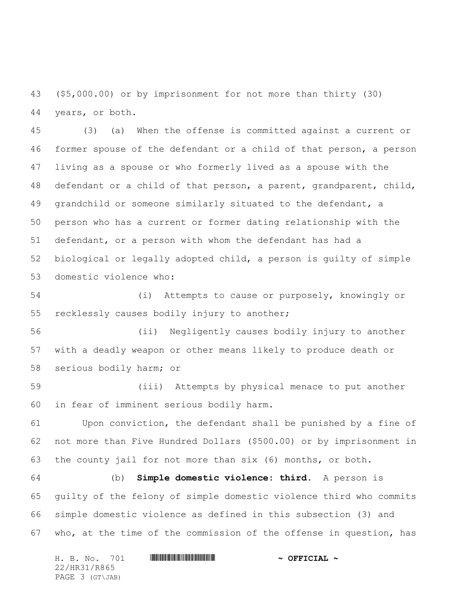(\$5,000.00) or by imprisonment for not more than thirty (30) years, or both.

 (3) (a) When the offense is committed against a current or former spouse of the defendant or a child of that person, a person living as a spouse or who formerly lived as a spouse with the defendant or a child of that person, a parent, grandparent, child, grandchild or someone similarly situated to the defendant, a person who has a current or former dating relationship with the defendant, or a person with whom the defendant has had a biological or legally adopted child, a person is guilty of simple domestic violence who:

 (i) Attempts to cause or purposely, knowingly or recklessly causes bodily injury to another;

 (ii) Negligently causes bodily injury to another with a deadly weapon or other means likely to produce death or serious bodily harm; or

 (iii) Attempts by physical menace to put another in fear of imminent serious bodily harm.

 Upon conviction, the defendant shall be punished by a fine of not more than Five Hundred Dollars (\$500.00) or by imprisonment in the county jail for not more than six (6) months, or both.

 (b) **Simple domestic violence: third.** A person is guilty of the felony of simple domestic violence third who commits simple domestic violence as defined in this subsection (3) and who, at the time of the commission of the offense in question, has

| H. B. No. 701   |  | $\sim$ OFFICIAL $\sim$ |  |  |  |  |
|-----------------|--|------------------------|--|--|--|--|
| 22/HR31/R865    |  |                        |  |  |  |  |
| PAGE 3 (GT\JAB) |  |                        |  |  |  |  |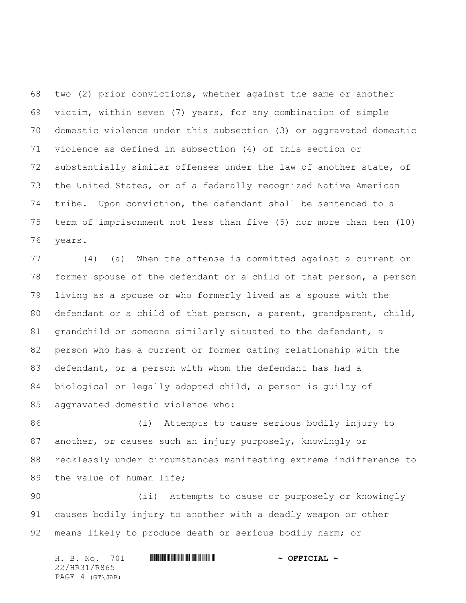two (2) prior convictions, whether against the same or another victim, within seven (7) years, for any combination of simple domestic violence under this subsection (3) or aggravated domestic violence as defined in subsection (4) of this section or substantially similar offenses under the law of another state, of the United States, or of a federally recognized Native American tribe. Upon conviction, the defendant shall be sentenced to a term of imprisonment not less than five (5) nor more than ten (10) years.

 (4) (a) When the offense is committed against a current or former spouse of the defendant or a child of that person, a person living as a spouse or who formerly lived as a spouse with the defendant or a child of that person, a parent, grandparent, child, grandchild or someone similarly situated to the defendant, a person who has a current or former dating relationship with the defendant, or a person with whom the defendant has had a biological or legally adopted child, a person is guilty of aggravated domestic violence who:

 (i) Attempts to cause serious bodily injury to another, or causes such an injury purposely, knowingly or recklessly under circumstances manifesting extreme indifference to 89 the value of human life;

 (ii) Attempts to cause or purposely or knowingly causes bodily injury to another with a deadly weapon or other means likely to produce death or serious bodily harm; or

H. B. No. 701 \*HR31/R865\* **~ OFFICIAL ~** 22/HR31/R865 PAGE 4 (GT\JAB)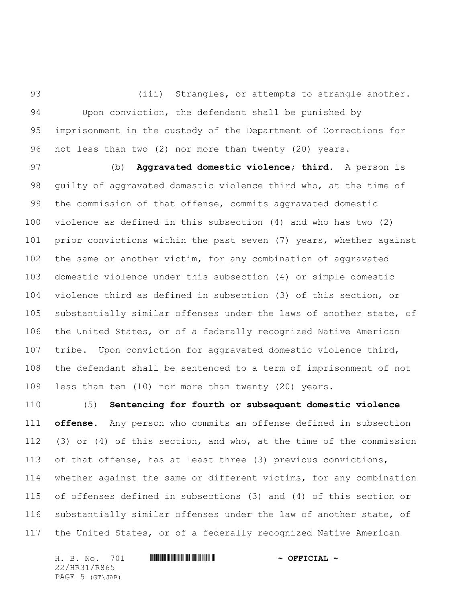93 (iii) Strangles, or attempts to strangle another. Upon conviction, the defendant shall be punished by imprisonment in the custody of the Department of Corrections for not less than two (2) nor more than twenty (20) years.

 (b) **Aggravated domestic violence; third.** A person is guilty of aggravated domestic violence third who, at the time of the commission of that offense, commits aggravated domestic violence as defined in this subsection (4) and who has two (2) prior convictions within the past seven (7) years, whether against the same or another victim, for any combination of aggravated domestic violence under this subsection (4) or simple domestic violence third as defined in subsection (3) of this section, or substantially similar offenses under the laws of another state, of the United States, or of a federally recognized Native American tribe. Upon conviction for aggravated domestic violence third, the defendant shall be sentenced to a term of imprisonment of not less than ten (10) nor more than twenty (20) years.

 (5) **Sentencing for fourth or subsequent domestic violence offense.** Any person who commits an offense defined in subsection (3) or (4) of this section, and who, at the time of the commission of that offense, has at least three (3) previous convictions, whether against the same or different victims, for any combination of offenses defined in subsections (3) and (4) of this section or substantially similar offenses under the law of another state, of the United States, or of a federally recognized Native American

H. B. No. 701 **HRING CONSTRUCTED A** OFFICIAL ~ 22/HR31/R865 PAGE 5 (GT\JAB)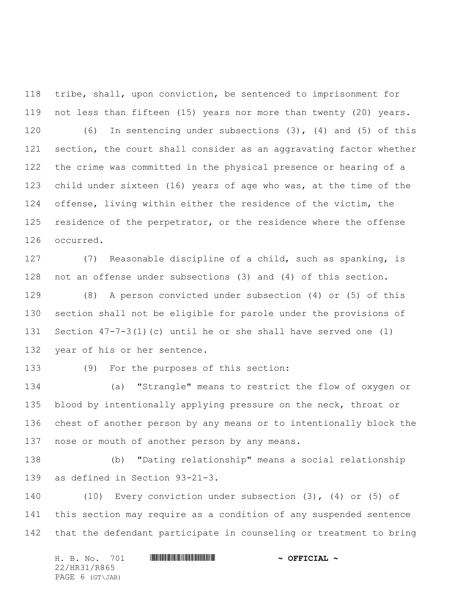tribe, shall, upon conviction, be sentenced to imprisonment for not less than fifteen (15) years nor more than twenty (20) years. (6) In sentencing under subsections (3), (4) and (5) of this section, the court shall consider as an aggravating factor whether the crime was committed in the physical presence or hearing of a child under sixteen (16) years of age who was, at the time of the offense, living within either the residence of the victim, the 125 residence of the perpetrator, or the residence where the offense occurred.

 (7) Reasonable discipline of a child, such as spanking, is not an offense under subsections (3) and (4) of this section.

 (8) A person convicted under subsection (4) or (5) of this section shall not be eligible for parole under the provisions of Section 47-7-3(1)(c) until he or she shall have served one (1) year of his or her sentence.

(9) For the purposes of this section:

 (a) "Strangle" means to restrict the flow of oxygen or blood by intentionally applying pressure on the neck, throat or chest of another person by any means or to intentionally block the nose or mouth of another person by any means.

 (b) "Dating relationship" means a social relationship as defined in Section 93-21-3.

 (10) Every conviction under subsection (3), (4) or (5) of this section may require as a condition of any suspended sentence that the defendant participate in counseling or treatment to bring

H. B. No. 701 \*HR31/R865\* **~ OFFICIAL ~** 22/HR31/R865 PAGE 6 (GT\JAB)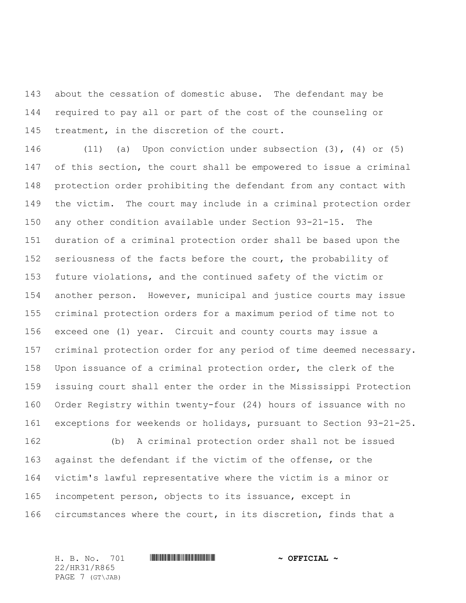about the cessation of domestic abuse. The defendant may be required to pay all or part of the cost of the counseling or treatment, in the discretion of the court.

 (11) (a) Upon conviction under subsection (3), (4) or (5) of this section, the court shall be empowered to issue a criminal protection order prohibiting the defendant from any contact with the victim. The court may include in a criminal protection order any other condition available under Section 93-21-15. The duration of a criminal protection order shall be based upon the seriousness of the facts before the court, the probability of future violations, and the continued safety of the victim or another person. However, municipal and justice courts may issue criminal protection orders for a maximum period of time not to exceed one (1) year. Circuit and county courts may issue a criminal protection order for any period of time deemed necessary. Upon issuance of a criminal protection order, the clerk of the issuing court shall enter the order in the Mississippi Protection Order Registry within twenty-four (24) hours of issuance with no exceptions for weekends or holidays, pursuant to Section 93-21-25.

 (b) A criminal protection order shall not be issued against the defendant if the victim of the offense, or the victim's lawful representative where the victim is a minor or incompetent person, objects to its issuance, except in circumstances where the court, in its discretion, finds that a

22/HR31/R865 PAGE 7 (GT\JAB)

H. B. No. 701 \*HR31/R865\* **~ OFFICIAL ~**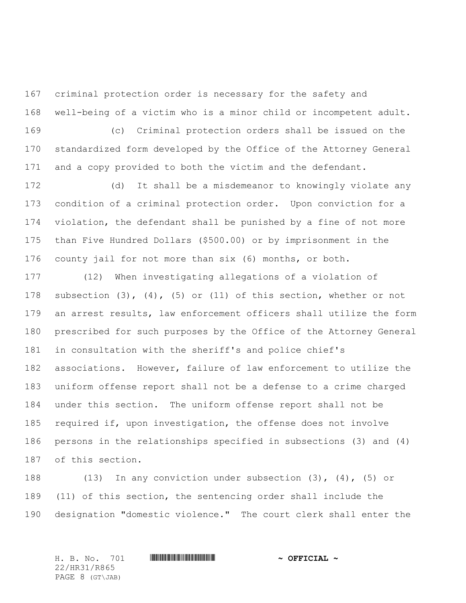criminal protection order is necessary for the safety and well-being of a victim who is a minor child or incompetent adult.

 (c) Criminal protection orders shall be issued on the standardized form developed by the Office of the Attorney General and a copy provided to both the victim and the defendant.

 (d) It shall be a misdemeanor to knowingly violate any condition of a criminal protection order. Upon conviction for a violation, the defendant shall be punished by a fine of not more than Five Hundred Dollars (\$500.00) or by imprisonment in the county jail for not more than six (6) months, or both.

 (12) When investigating allegations of a violation of subsection (3), (4), (5) or (11) of this section, whether or not an arrest results, law enforcement officers shall utilize the form prescribed for such purposes by the Office of the Attorney General in consultation with the sheriff's and police chief's associations. However, failure of law enforcement to utilize the uniform offense report shall not be a defense to a crime charged under this section. The uniform offense report shall not be required if, upon investigation, the offense does not involve persons in the relationships specified in subsections (3) and (4) of this section.

 (13) In any conviction under subsection (3), (4), (5) or (11) of this section, the sentencing order shall include the designation "domestic violence." The court clerk shall enter the

H. B. No. 701 \*HR31/R865\* **~ OFFICIAL ~** 22/HR31/R865 PAGE 8 (GT\JAB)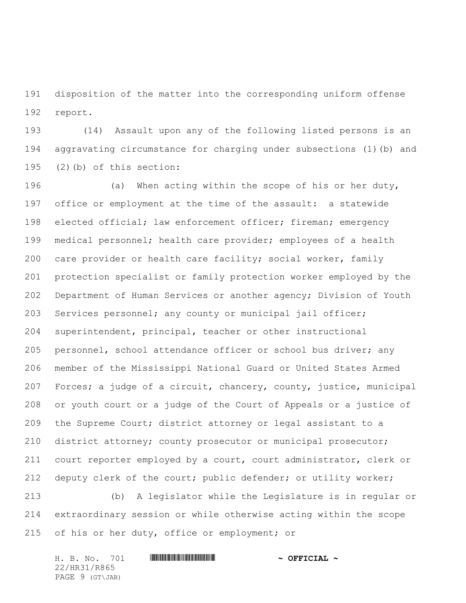disposition of the matter into the corresponding uniform offense report.

 (14) Assault upon any of the following listed persons is an aggravating circumstance for charging under subsections (1)(b) and (2)(b) of this section:

 (a) When acting within the scope of his or her duty, office or employment at the time of the assault: a statewide 198 elected official; law enforcement officer; fireman; emergency medical personnel; health care provider; employees of a health care provider or health care facility; social worker, family protection specialist or family protection worker employed by the Department of Human Services or another agency; Division of Youth 203 Services personnel; any county or municipal jail officer; superintendent, principal, teacher or other instructional personnel, school attendance officer or school bus driver; any member of the Mississippi National Guard or United States Armed Forces; a judge of a circuit, chancery, county, justice, municipal or youth court or a judge of the Court of Appeals or a justice of the Supreme Court; district attorney or legal assistant to a district attorney; county prosecutor or municipal prosecutor; court reporter employed by a court, court administrator, clerk or deputy clerk of the court; public defender; or utility worker;

 (b) A legislator while the Legislature is in regular or extraordinary session or while otherwise acting within the scope 215 of his or her duty, office or employment; or

|              |  | H. B. No. 701   |  |  |  | $\sim$ OFFICIAL $\sim$ |
|--------------|--|-----------------|--|--|--|------------------------|
| 22/HR31/R865 |  |                 |  |  |  |                        |
|              |  | PAGE 9 (GT\JAB) |  |  |  |                        |